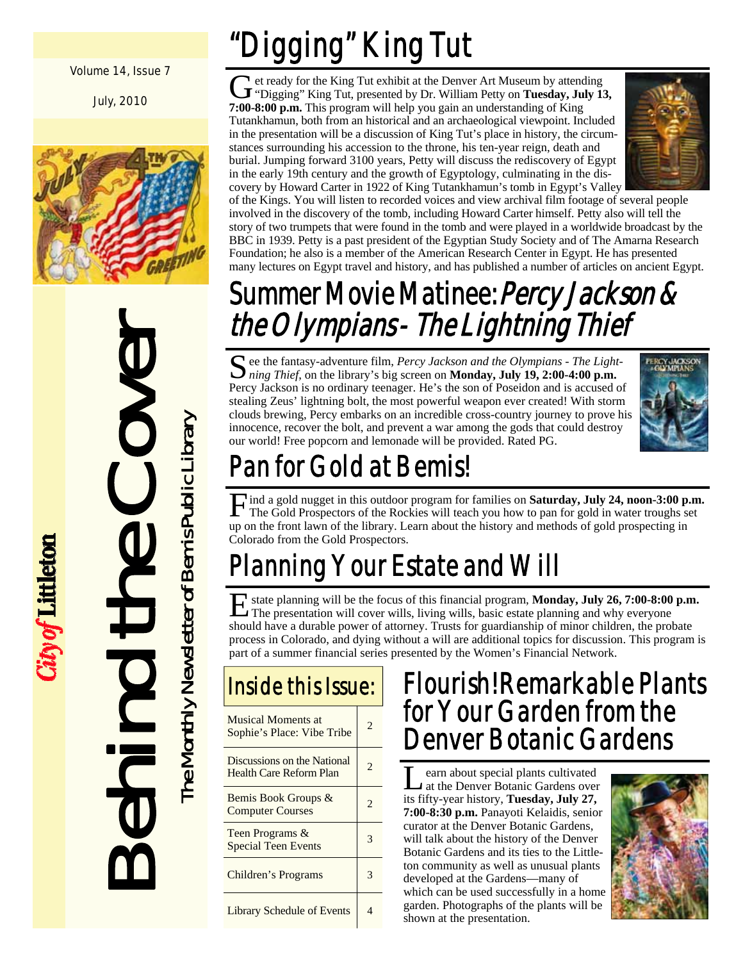#### Volume 14, Issue 7

July, 2010



Behind the Cover The Monthly Newsletter of Bemis Public Library

City of Littleton

The Monthly Newsletter of Bemis Public Library

# Digging" King Tut

G et ready for the King Tut exhibit at the Denver Art Museum by attending<br>"Digging" King Tut, presented by Dr. William Petty on **Tuesday, July 13, 7:00-8:00 p.m.** This program will help you gain an understanding of King Tutankhamun, both from an historical and an archaeological viewpoint. Included in the presentation will be a discussion of King Tut's place in history, the circumstances surrounding his accession to the throne, his ten-year reign, death and burial. Jumping forward 3100 years, Petty will discuss the rediscovery of Egypt in the early 19th century and the growth of Egyptology, culminating in the discovery by Howard Carter in 1922 of King Tutankhamun's tomb in Egypt's Valley



of the Kings. You will listen to recorded voices and view archival film footage of several people involved in the discovery of the tomb, including Howard Carter himself. Petty also will tell the story of two trumpets that were found in the tomb and were played in a worldwide broadcast by the BBC in 1939. Petty is a past president of the Egyptian Study Society and of The Amarna Research Foundation; he also is a member of the American Research Center in Egypt. He has presented many lectures on Egypt travel and history, and has published a number of articles on ancient Egypt.

## Summer Movie Matinee: *Percy Jackson &* the Olympians - The Lightning Thief

S ee the fantasy-adventure film, *Percy Jackson and the Olympians - The Light- ning Thief*, on the library's big screen on **Monday, July 19, 2:00-4:00 p.m.** Percy Jackson is no ordinary teenager. He's the son of Poseidon and is accused of stealing Zeus' lightning bolt, the most powerful weapon ever created! With storm clouds brewing, Percy embarks on an incredible cross-country journey to prove his innocence, recover the bolt, and prevent a war among the gods that could destroy our world! Free popcorn and lemonade will be provided. Rated PG.



# Pan for Gold at Bemis!

Find a gold nugget in this outdoor program for families on **Saturday, July 24, noon-3:00 p.m.** The Gold Prospectors of the Rockies will teach you how to pan for gold in water troughs set up on the front lawn of the library. Learn about the history and methods of gold prospecting in Colorado from the Gold Prospectors.

# anning Your Estate and Will

E state planning will be the focus of this financial program, **Monday, July 26, 7:00-8:00 p.m.**  The presentation will cover wills, living wills, basic estate planning and why everyone should have a durable power of attorney. Trusts for guardianship of minor children, the probate process in Colorado, and dying without a will are additional topics for discussion. This program is part of a summer financial series presented by the Women's Financial Network.

# Inside this Issue:

| <b>Musical Moments at</b><br>Sophie's Place: Vibe Tribe | $\mathfrak{D}$        |
|---------------------------------------------------------|-----------------------|
| Discussions on the National<br>Health Care Reform Plan  | 2.                    |
| Bemis Book Groups &<br><b>Computer Courses</b>          | $\mathcal{D}_{\cdot}$ |
| Teen Programs &<br><b>Special Teen Events</b>           |                       |
| <b>Children's Programs</b>                              |                       |
| <b>Library Schedule of Events</b>                       |                       |

## Flourish! Remarkable Plants for Your Garden from the Denver Botanic Gardens

Learn about special plants cultivated<br>
at the Denver Botanic Gardens over its fifty-year history, **Tuesday, July 27, 7:00-8:30 p.m.** Panayoti Kelaidis, senior curator at the Denver Botanic Gardens, will talk about the history of the Denver Botanic Gardens and its ties to the Littleton community as well as unusual plants developed at the Gardens—many of which can be used successfully in a home garden. Photographs of the plants will be shown at the presentation.

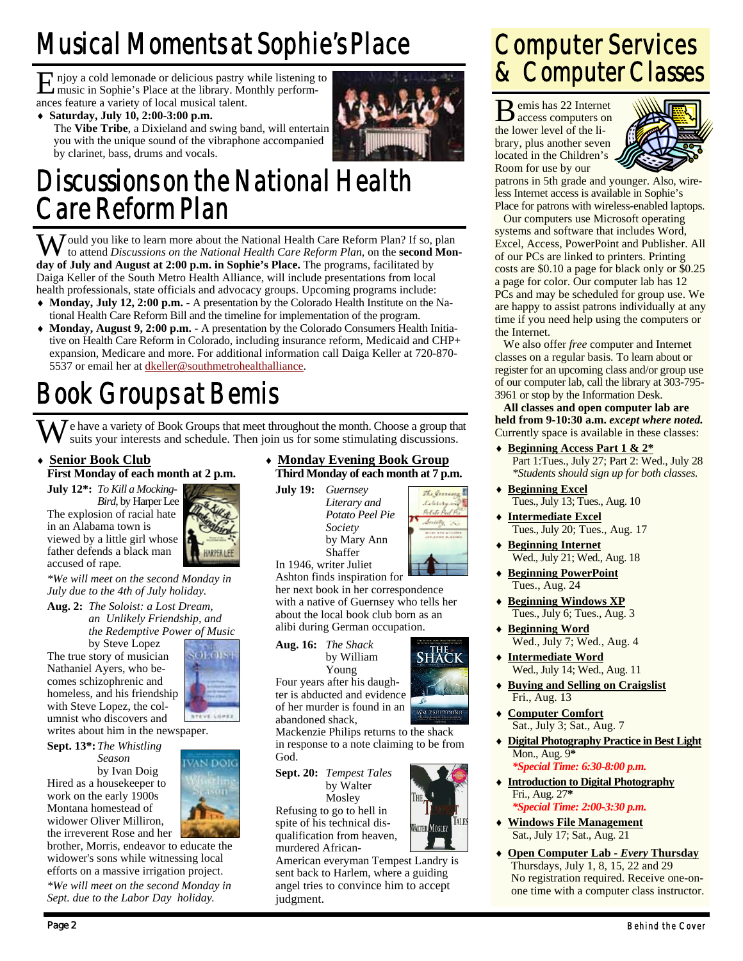# Musical Moments at Sophie's Place

E njoy a cold lemonade or delicious pastry while listening to music in Sophie's Place at the library. Monthly performances feature a variety of local musical talent.

♦ **Saturday, July 10, 2:00-3:00 p.m.** 



The **Vibe Tribe**, a Dixieland and swing band, will entertain you with the unique sound of the vibraphone accompanied by clarinet, bass, drums and vocals.

## Discussions on the National Health Care Reform Plan

W ould you like to learn more about the National Health Care Reform Plan? If so, plan to attend *Discussions on the National Health Care Reform Plan*, on the **second Monday of July and August at 2:00 p.m. in Sophie's Place.** The programs, facilitated by Daiga Keller of the South Metro Health Alliance, will include presentations from local health professionals, state officials and advocacy groups. Upcoming programs include:

- ♦ **Monday, July 12, 2:00 p.m.** A presentation by the Colorado Health Institute on the National Health Care Reform Bill and the timeline for implementation of the program.
- ♦ **Monday, August 9, 2:00 p.m.** A presentation by the Colorado Consumers Health Initiative on Health Care Reform in Colorado, including insurance reform, Medicaid and CHP+ expansion, Medicare and more. For additional information call Daiga Keller at 720-870- 5537 or email her at dkeller@southmetrohealthalliance.

# Book Groups at Bemis

We have a variety of Book Groups that meet throughout the month. Choose a group that suits your interests and schedule. Then join us for some stimulating discussions.

♦ **Senior Book Club First Monday of each month at 2 p.m.** 

**July 12\*:** *To Kill a Mocking-* 

 *Bird,* by Harper Lee The explosion of racial hate in an Alabama town is viewed by a little girl whose father defends a black man accused of rape.



sof ors

*\*We will meet on the second Monday in July due to the 4th of July holiday.* 

**Aug. 2:** *The Soloist: a Lost Dream, an Unlikely Friendship, and the Redemptive Power of Music* 

by Steve Lopez The true story of musician Nathaniel Ayers, who becomes schizophrenic and homeless, and his friendship with Steve Lopez, the columnist who discovers and writes about him in the newspaper.

**Sept. 13\*:** *The Whistling Season* 

 by Ivan Doig Hired as a housekeeper to work on the early 1900s Montana homestead of widower Oliver Milliron, the irreverent Rose and her

VAN DOIC  $111$ 

brother, Morris, endeavor to educate the widower's sons while witnessing local efforts on a massive irrigation project.

*\*We will meet on the second Monday in Sept. due to the Labor Day holiday.* 

♦ **Monday Evening Book Group Third Monday of each month at 7 p.m.** 

**July 19:** *Guernsey Literary and Potato Peel Pie Society* by Mary Ann **Shaffer** 

In 1946, writer Juliet Ashton finds inspiration for her next book in her correspondence with a native of Guernsey who tells her

about the local book club born as an alibi during German occupation.

**Aug. 16:** *The Shack* by William Young



THE.

**WALTER MOSLEY** 

**IALE** 

The General Literary Potisto Per Society

Four years after his daughter is abducted and evidence of her murder is found in an abandoned shack,

Mackenzie Philips returns to the shack in response to a note claiming to be from God.

**Sept. 20:** *Tempest Tales*  by Walter

 Mosley Refusing to go to hell in spite of his technical disqualification from heaven, murdered African-

American everyman Tempest Landry is sent back to Harlem, where a guiding angel tries to convince him to accept judgment.

## Computer Services & Computer Classes

B emis has 22 Internet access computers on the lower level of the library, plus another seven located in the Children's Room for use by our



patrons in 5th grade and younger. Also, wireless Internet access is available in Sophie's Place for patrons with wireless-enabled laptops.

 Our computers use Microsoft operating systems and software that includes Word, Excel, Access, PowerPoint and Publisher. All of our PCs are linked to printers. Printing costs are \$0.10 a page for black only or \$0.25 a page for color. Our computer lab has 12 PCs and may be scheduled for group use. We are happy to assist patrons individually at any time if you need help using the computers or the Internet.

 We also offer *free* computer and Internet classes on a regular basis. To learn about or register for an upcoming class and/or group use of our computer lab, call the library at 303-795- 3961 or stop by the Information Desk.

**All classes and open computer lab are held from 9-10:30 a.m.** *except where noted.* Currently space is available in these classes:

- ♦ **Beginning Access Part 1 & 2\*** Part 1:Tues., July 27; Part 2: Wed., July 28  *\*Students should sign up for both classes.*
- ♦ **Beginning Excel** Tues., July 13; Tues., Aug. 10
- ♦ **Intermediate Excel** Tues., July 20; Tues., Aug. 17
- ♦ **Beginning Internet** Wed., July 21; Wed., Aug. 18
- ♦ **Beginning PowerPoint** Tues., Aug. 24
- **Beginning Windows XP** Tues., July 6; Tues., Aug. 3
- ♦ **Beginning Word** Wed., July 7; Wed., Aug. 4
- ♦ **Intermediate Word** Wed., July 14; Wed., Aug. 11
- ♦ **Buying and Selling on Craigslist** Fri., Aug. 13
- ♦ **Computer Comfort** Sat., July 3; Sat., Aug. 7
- ♦ **Digital Photography Practice in Best Light** Mon., Aug. 9**\***  *\*Special Time: 6:30-8:00 p.m.*
- ♦ **Introduction to Digital Photography** Fri., Aug. 27**\***   *\*Special Time: 2:00-3:30 p.m.*
- ♦ **Windows File Management** Sat., July 17; Sat., Aug. 21
- ♦ **Open Computer Lab** *Every* **Thursday** Thursdays, July 1, 8, 15, 22 and 29 No registration required. Receive one-onone time with a computer class instructor.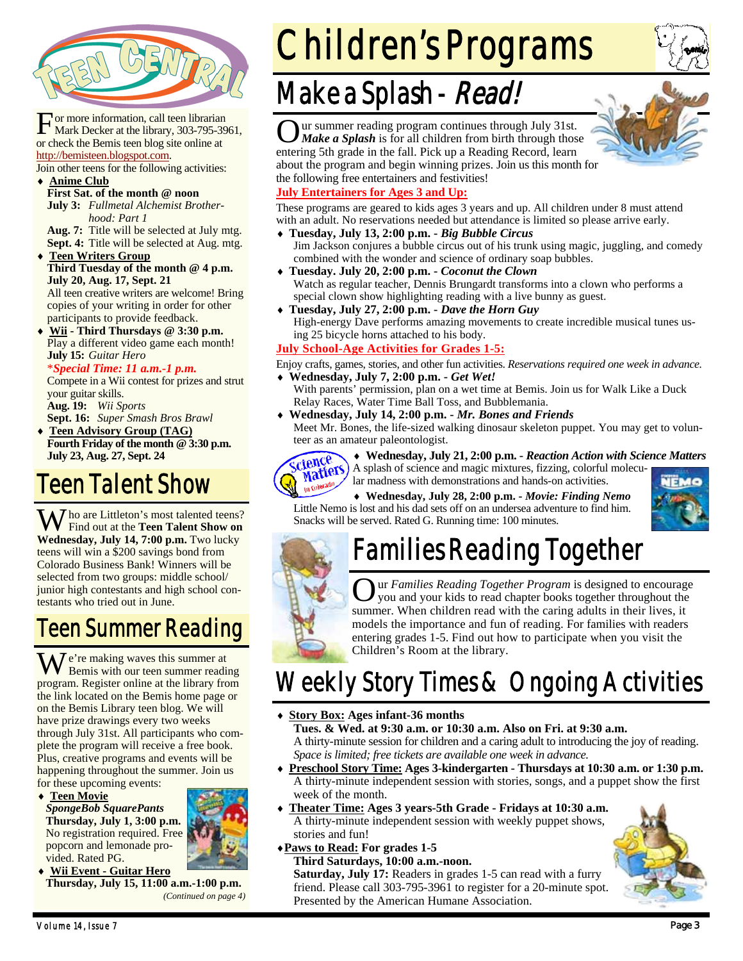

or more information, call teen librarian Mark Decker at the library, 303-795-3961, or check the Bemis teen blog site online at http://bemisteen.blogspot.com.

Join other teens for the following activities:

♦ **Anime Club First Sat. of the month @ noon July 3:** *Fullmetal Alchemist Brother-* 

 *hood: Part 1* **Aug. 7:** Title will be selected at July mtg. **Sept. 4:** Title will be selected at Aug. mtg.

**Teen Writers Group Third Tuesday of the month @ 4 p.m. July 20, Aug. 17, Sept. 21** 

All teen creative writers are welcome! Bring copies of your writing in order for other participants to provide feedback.

Wii - Third Thursdays @ 3:30 p.m. Play a different video game each month! **July 15:** *Guitar Hero*

#### \**Special Time: 11 a.m.-1 p.m.*

Compete in a Wii contest for prizes and strut your guitar skills. **Aug. 19:** *Wii Sports*

**Sept. 16:** *Super Smash Bros Brawl*

♦ **Teen Advisory Group (TAG) Fourth Friday of the month @ 3:30 p.m. July 23, Aug. 27, Sept. 24** 

## Teen Talent Show

 $\sum$  ho are Littleton's most talented teens? Find out at the **Teen Talent Show on Wednesday, July 14, 7:00 p.m.** Two lucky teens will win a \$200 savings bond from Colorado Business Bank! Winners will be selected from two groups: middle school/ junior high contestants and high school contestants who tried out in June.

### Teen Summer Reading

W e're making waves this summer at Bemis with our teen summer reading program. Register online at the library from the link located on the Bemis home page or on the Bemis Library teen blog. We will have prize drawings every two weeks through July 31st. All participants who complete the program will receive a free book. Plus, creative programs and events will be happening throughout the summer. Join us for these upcoming events:

♦ **Teen Movie**

*SpongeBob SquarePants*  **Thursday, July 1, 3:00 p.m.**  No registration required. Free popcorn and lemonade provided. Rated PG.



♦ **Wii Event - Guitar Hero Thursday, July 15, 11:00 a.m.-1:00 p.m.**  *(Continued on page 4)* 

# Children's Programs

# Make a Splash - Read!

O ur summer reading program continues through July 31st. *Make a Splash* is for all children from birth through those entering 5th grade in the fall. Pick up a Reading Record, learn about the program and begin winning prizes. Join us this month for the following free entertainers and festivities!



These programs are geared to kids ages 3 years and up. All children under 8 must attend with an adult. No reservations needed but attendance is limited so please arrive early.

- ♦ **Tuesday, July 13, 2:00 p.m.** *Big Bubble Circus* Jim Jackson conjures a bubble circus out of his trunk using magic, juggling, and comedy combined with the wonder and science of ordinary soap bubbles.
- ♦ **Tuesday. July 20, 2:00 p.m.** *Coconut the Clown* Watch as regular teacher, Dennis Brungardt transforms into a clown who performs a special clown show highlighting reading with a live bunny as guest.
- ♦ **Tuesday, July 27, 2:00 p.m.** *Dave the Horn Guy* High-energy Dave performs amazing movements to create incredible musical tunes using 25 bicycle horns attached to his body.

#### **July School-Age Activities for Grades 1-5:**

Enjoy crafts, games, stories, and other fun activities. *Reservations required one week in advance.* ♦ **Wednesday, July 7, 2:00 p.m. -** *Get Wet!*

- With parents' permission, plan on a wet time at Bemis. Join us for Walk Like a Duck Relay Races, Water Time Ball Toss, and Bubblemania.
- ♦ **Wednesday, July 14, 2:00 p.m.** *Mr. Bones and Friends* Meet Mr. Bones, the life-sized walking dinosaur skeleton puppet. You may get to volunteer as an amateur paleontologist.



♦ **Wednesday, July 21, 2:00 p.m. -** *Reaction Action with Science Matters* A splash of science and magic mixtures, fizzing, colorful molecu-

lar madness with demonstrations and hands-on activities.

♦ **Wednesday, July 28, 2:00 p.m. -** *Movie: Finding Nemo* Little Nemo is lost and his dad sets off on an undersea adventure to find him. Snacks will be served. Rated G. Running time: 100 minutes.



# Families Reading Together

ur *Families Reading Together Program* is designed to encourage you and your kids to read chapter books together throughout the summer. When children read with the caring adults in their lives, it models the importance and fun of reading. For families with readers entering grades 1-5. Find out how to participate when you visit the Children's Room at the library.

## Weekly Story Times & Ongoing Activities

**Story Box: Ages infant-36 months** 

 **Tues. & Wed. at 9:30 a.m. or 10:30 a.m. Also on Fri. at 9:30 a.m.**  A thirty-minute session for children and a caring adult to introducing the joy of reading. *Space is limited; free tickets are available one week in advance.* 

- ♦ **Preschool Story Time: Ages 3-kindergarten Thursdays at 10:30 a.m. or 1:30 p.m.**  A thirty-minute independent session with stories, songs, and a puppet show the first week of the month.
- ♦ **Theater Time: Ages 3 years-5th Grade Fridays at 10:30 a.m.** A thirty-minute independent session with weekly puppet shows, stories and fun!

#### ♦**Paws to Read: For grades 1-5**

 **Third Saturdays, 10:00 a.m.-noon. Saturday, July 17:** Readers in grades 1-5 can read with a furry friend. Please call 303-795-3961 to register for a 20-minute spot. Presented by the American Humane Association.